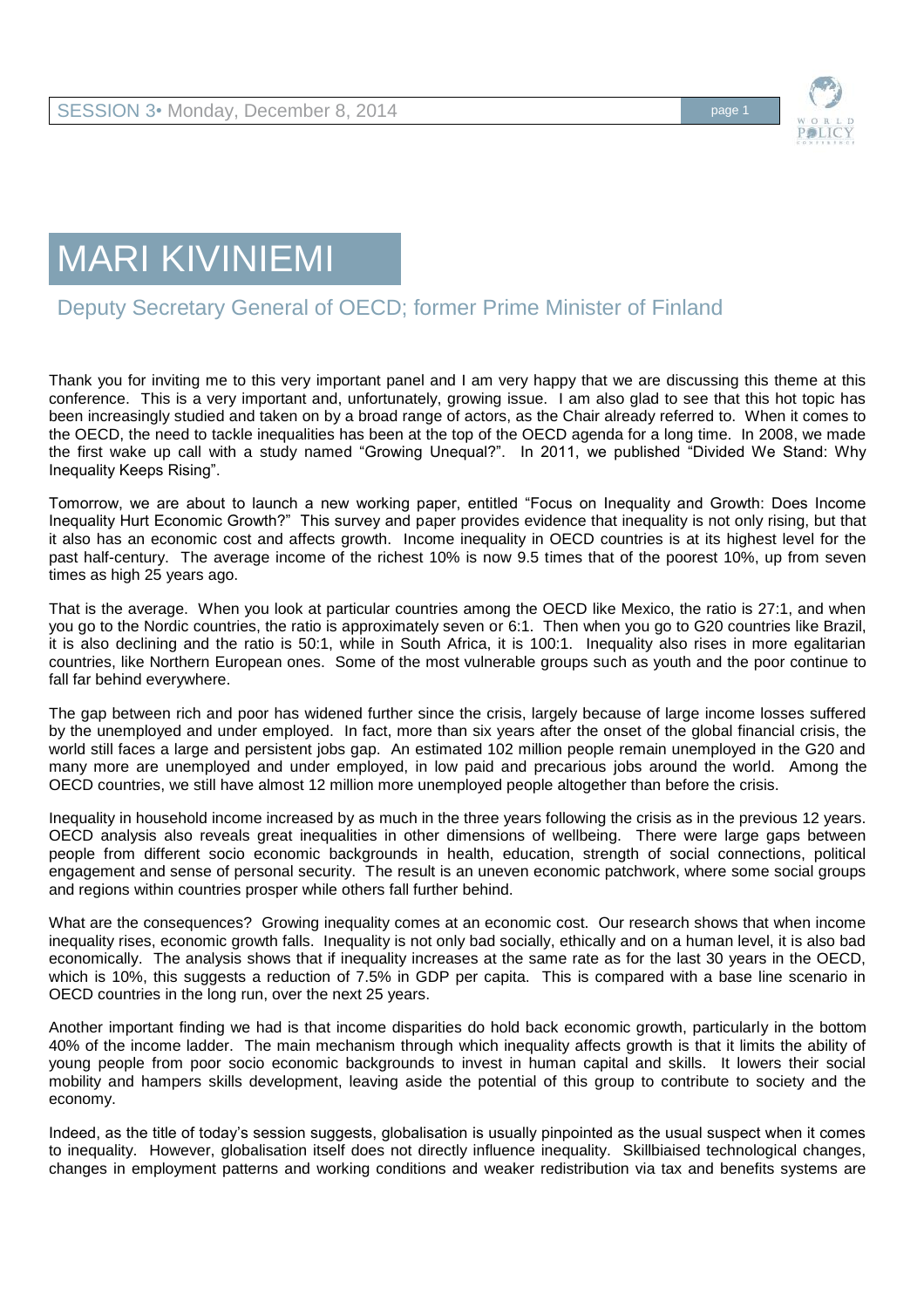

## MARI KIVINIEMI

## Deputy Secretary General of OECD; former Prime Minister of Finland

Thank you for inviting me to this very important panel and I am very happy that we are discussing this theme at this conference. This is a very important and, unfortunately, growing issue. I am also glad to see that this hot topic has been increasingly studied and taken on by a broad range of actors, as the Chair already referred to. When it comes to the OECD, the need to tackle inequalities has been at the top of the OECD agenda for a long time. In 2008, we made the first wake up call with a study named "Growing Unequal?". In 2011, we published "Divided We Stand: Why Inequality Keeps Rising".

Tomorrow, we are about to launch a new working paper, entitled "Focus on Inequality and Growth: Does Income Inequality Hurt Economic Growth?" This survey and paper provides evidence that inequality is not only rising, but that it also has an economic cost and affects growth. Income inequality in OECD countries is at its highest level for the past half-century. The average income of the richest 10% is now 9.5 times that of the poorest 10%, up from seven times as high 25 years ago.

That is the average. When you look at particular countries among the OECD like Mexico, the ratio is 27:1, and when you go to the Nordic countries, the ratio is approximately seven or 6:1. Then when you go to G20 countries like Brazil, it is also declining and the ratio is 50:1, while in South Africa, it is 100:1. Inequality also rises in more egalitarian countries, like Northern European ones. Some of the most vulnerable groups such as youth and the poor continue to fall far behind everywhere.

The gap between rich and poor has widened further since the crisis, largely because of large income losses suffered by the unemployed and under employed. In fact, more than six years after the onset of the global financial crisis, the world still faces a large and persistent jobs gap. An estimated 102 million people remain unemployed in the G20 and many more are unemployed and under employed, in low paid and precarious jobs around the world. Among the OECD countries, we still have almost 12 million more unemployed people altogether than before the crisis.

Inequality in household income increased by as much in the three years following the crisis as in the previous 12 years. OECD analysis also reveals great inequalities in other dimensions of wellbeing. There were large gaps between people from different socio economic backgrounds in health, education, strength of social connections, political engagement and sense of personal security. The result is an uneven economic patchwork, where some social groups and regions within countries prosper while others fall further behind.

What are the consequences? Growing inequality comes at an economic cost. Our research shows that when income inequality rises, economic growth falls. Inequality is not only bad socially, ethically and on a human level, it is also bad economically. The analysis shows that if inequality increases at the same rate as for the last 30 years in the OECD, which is 10%, this suggests a reduction of 7.5% in GDP per capita. This is compared with a base line scenario in OECD countries in the long run, over the next 25 years.

Another important finding we had is that income disparities do hold back economic growth, particularly in the bottom 40% of the income ladder. The main mechanism through which inequality affects growth is that it limits the ability of young people from poor socio economic backgrounds to invest in human capital and skills. It lowers their social mobility and hampers skills development, leaving aside the potential of this group to contribute to society and the economy.

Indeed, as the title of today's session suggests, globalisation is usually pinpointed as the usual suspect when it comes to inequality. However, globalisation itself does not directly influence inequality. Skillbiaised technological changes, changes in employment patterns and working conditions and weaker redistribution via tax and benefits systems are